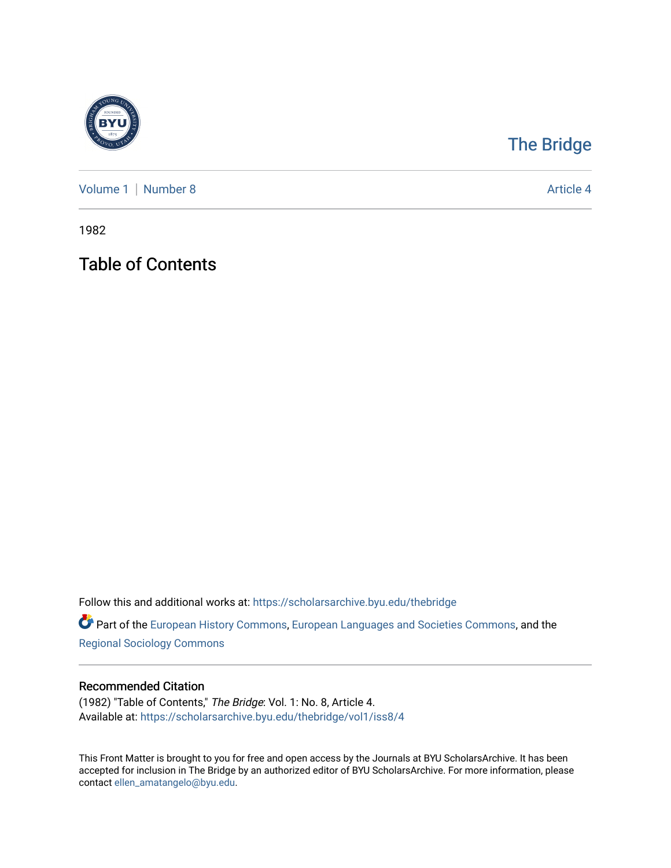

## [The Bridge](https://scholarsarchive.byu.edu/thebridge)

[Volume 1](https://scholarsarchive.byu.edu/thebridge/vol1) | [Number 8](https://scholarsarchive.byu.edu/thebridge/vol1/iss8) Article 4

1982

Table of Contents

Follow this and additional works at: [https://scholarsarchive.byu.edu/thebridge](https://scholarsarchive.byu.edu/thebridge?utm_source=scholarsarchive.byu.edu%2Fthebridge%2Fvol1%2Fiss8%2F4&utm_medium=PDF&utm_campaign=PDFCoverPages) 

**Part of the [European History Commons](http://network.bepress.com/hgg/discipline/492?utm_source=scholarsarchive.byu.edu%2Fthebridge%2Fvol1%2Fiss8%2F4&utm_medium=PDF&utm_campaign=PDFCoverPages), [European Languages and Societies Commons,](http://network.bepress.com/hgg/discipline/482?utm_source=scholarsarchive.byu.edu%2Fthebridge%2Fvol1%2Fiss8%2F4&utm_medium=PDF&utm_campaign=PDFCoverPages) and the** [Regional Sociology Commons](http://network.bepress.com/hgg/discipline/427?utm_source=scholarsarchive.byu.edu%2Fthebridge%2Fvol1%2Fiss8%2F4&utm_medium=PDF&utm_campaign=PDFCoverPages) 

## Recommended Citation

(1982) "Table of Contents," The Bridge: Vol. 1: No. 8, Article 4. Available at: [https://scholarsarchive.byu.edu/thebridge/vol1/iss8/4](https://scholarsarchive.byu.edu/thebridge/vol1/iss8/4?utm_source=scholarsarchive.byu.edu%2Fthebridge%2Fvol1%2Fiss8%2F4&utm_medium=PDF&utm_campaign=PDFCoverPages)

This Front Matter is brought to you for free and open access by the Journals at BYU ScholarsArchive. It has been accepted for inclusion in The Bridge by an authorized editor of BYU ScholarsArchive. For more information, please contact [ellen\\_amatangelo@byu.edu.](mailto:ellen_amatangelo@byu.edu)